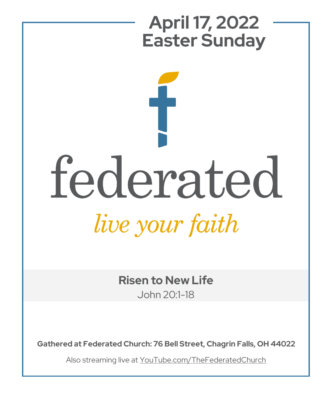

**Risen to New Life** John 20:1-18

**Gathered at Federated Church: 76 Bell Street, Chagrin Falls, OH 44022**

Also streaming live at YouTube.com/TheFederatedChurch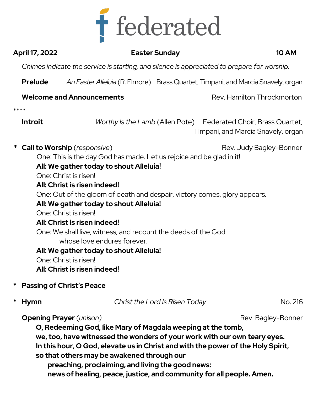

|                  | April 17, 2022                                                                              |                                                                                                                                                                                                                                                                                                                                                                                                                                                                                                                                                                                                      | <b>Easter Sunday</b>           | <b>10 AM</b>                                                                                          |  |
|------------------|---------------------------------------------------------------------------------------------|------------------------------------------------------------------------------------------------------------------------------------------------------------------------------------------------------------------------------------------------------------------------------------------------------------------------------------------------------------------------------------------------------------------------------------------------------------------------------------------------------------------------------------------------------------------------------------------------------|--------------------------------|-------------------------------------------------------------------------------------------------------|--|
|                  | Chimes indicate the service is starting, and silence is appreciated to prepare for worship. |                                                                                                                                                                                                                                                                                                                                                                                                                                                                                                                                                                                                      |                                |                                                                                                       |  |
|                  | <b>Prelude</b>                                                                              |                                                                                                                                                                                                                                                                                                                                                                                                                                                                                                                                                                                                      |                                | An Easter Alleluia (R. Elmore) Brass Quartet, Timpani, and Marcia Snavely, organ                      |  |
|                  |                                                                                             | <b>Welcome and Announcements</b>                                                                                                                                                                                                                                                                                                                                                                                                                                                                                                                                                                     |                                | Rev. Hamilton Throckmorton                                                                            |  |
| ****             |                                                                                             |                                                                                                                                                                                                                                                                                                                                                                                                                                                                                                                                                                                                      |                                |                                                                                                       |  |
|                  | <b>Introit</b>                                                                              |                                                                                                                                                                                                                                                                                                                                                                                                                                                                                                                                                                                                      |                                | Worthy Is the Lamb (Allen Pote) Federated Choir, Brass Quartet,<br>Timpani, and Marcia Snavely, organ |  |
|                  |                                                                                             | <b>Call to Worship</b> (responsive)<br>One: This is the day God has made. Let us rejoice and be glad in it!<br>All: We gather today to shout Alleluia!<br>One: Christ is risen!<br>All: Christ is risen indeed!<br>One: Out of the gloom of death and despair, victory comes, glory appears.<br>All: We gather today to shout Alleluia!<br>One: Christ is risen!<br>All: Christ is risen indeed!<br>One: We shall live, witness, and recount the deeds of the God<br>whose love endures forever.<br>All: We gather today to shout Alleluia!<br>One: Christ is risen!<br>All: Christ is risen indeed! |                                | Rev. Judy Bagley-Bonner                                                                               |  |
| *                |                                                                                             | <b>Passing of Christ's Peace</b>                                                                                                                                                                                                                                                                                                                                                                                                                                                                                                                                                                     |                                |                                                                                                       |  |
| *<br><b>Hymn</b> |                                                                                             |                                                                                                                                                                                                                                                                                                                                                                                                                                                                                                                                                                                                      | Christ the Lord Is Risen Today | No. 216                                                                                               |  |
|                  |                                                                                             | <b>Opening Prayer</b> ( <i>unison</i> )<br>O, Redeeming God, like Mary of Magdala weeping at the tomb,<br>we, too, have witnessed the wonders of your work with our own teary eyes.<br>In this hour, O God, elevate us in Christ and with the power of the Holy Spirit,<br>so that others may be awakened through our                                                                                                                                                                                                                                                                                |                                | Rev. Bagley-Bonner                                                                                    |  |

**preaching, proclaiming, and living the good news: news of healing, peace, justice, and community for all people. Amen.**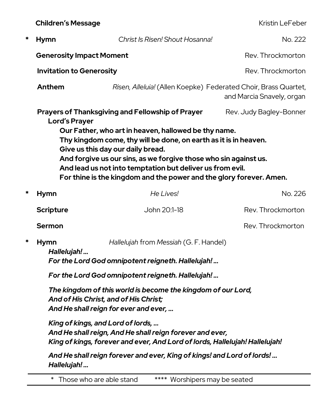**Children's Message** Kristin LeFeber

| * | <b>Hymn</b>                                                                                                                                                                                                                                                                                                                                                                                                                                                                  | Christ Is Risen! Shout Hosanna!                                                              | No. 222           |  |  |  |
|---|------------------------------------------------------------------------------------------------------------------------------------------------------------------------------------------------------------------------------------------------------------------------------------------------------------------------------------------------------------------------------------------------------------------------------------------------------------------------------|----------------------------------------------------------------------------------------------|-------------------|--|--|--|
|   | Rev. Throckmorton<br><b>Generosity Impact Moment</b>                                                                                                                                                                                                                                                                                                                                                                                                                         |                                                                                              |                   |  |  |  |
|   | <b>Invitation to Generosity</b>                                                                                                                                                                                                                                                                                                                                                                                                                                              |                                                                                              | Rev. Throckmorton |  |  |  |
|   | Anthem                                                                                                                                                                                                                                                                                                                                                                                                                                                                       | Risen, Alleluia! (Allen Koepke) Federated Choir, Brass Quartet,<br>and Marcia Snavely, organ |                   |  |  |  |
|   | Prayers of Thanksgiving and Fellowship of Prayer<br>Rev. Judy Bagley-Bonner<br><b>Lord's Prayer</b><br>Our Father, who art in heaven, hallowed be thy name.<br>Thy kingdom come, thy will be done, on earth as it is in heaven.<br>Give us this day our daily bread.<br>And forgive us our sins, as we forgive those who sin against us.<br>And lead us not into temptation but deliver us from evil.<br>For thine is the kingdom and the power and the glory forever. Amen. |                                                                                              |                   |  |  |  |
| * | <b>Hymn</b>                                                                                                                                                                                                                                                                                                                                                                                                                                                                  | He Lives!                                                                                    | No. 226           |  |  |  |
|   | <b>Scripture</b>                                                                                                                                                                                                                                                                                                                                                                                                                                                             | John 20:1-18                                                                                 | Rev. Throckmorton |  |  |  |
|   | <b>Sermon</b>                                                                                                                                                                                                                                                                                                                                                                                                                                                                |                                                                                              | Rev. Throckmorton |  |  |  |
| * | <b>Hymn</b><br>Hallelujah!                                                                                                                                                                                                                                                                                                                                                                                                                                                   | Hallelujah from Messiah (G. F. Handel)<br>For the Lord God omnipotent reigneth. Hallelujah!  |                   |  |  |  |
|   | For the Lord God omnipotent reigneth. Hallelujah!<br>The kingdom of this world is become the kingdom of our Lord,<br>And of His Christ, and of His Christ;<br>And He shall reign for ever and ever,<br>King of kings, and Lord of lords,<br>And He shall reign, And He shall reign forever and ever,<br>King of kings, forever and ever, And Lord of lords, Hallelujah! Hallelujah!<br>And He shall reign forever and ever, King of kings! and Lord of lords!<br>Hallelujah! |                                                                                              |                   |  |  |  |
|   |                                                                                                                                                                                                                                                                                                                                                                                                                                                                              |                                                                                              |                   |  |  |  |
|   |                                                                                                                                                                                                                                                                                                                                                                                                                                                                              |                                                                                              |                   |  |  |  |
|   |                                                                                                                                                                                                                                                                                                                                                                                                                                                                              |                                                                                              |                   |  |  |  |